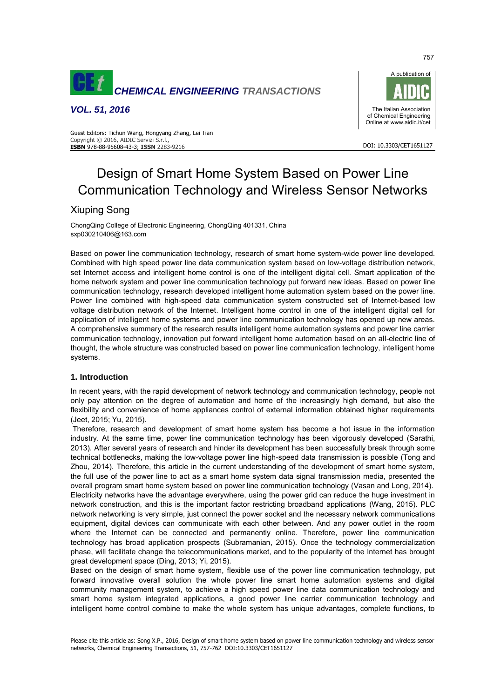

*VOL. 51, 2016*



757

Guest Editors: Tichun Wang, Hongyang Zhang, Lei Tian Copyright © 2016, AIDIC Servizi S.r.l., **ISBN** 978-88-95608-43-3; **ISSN** 2283-9216

# Design of Smart Home System Based on Power Line Communication Technology and Wireless Sensor Networks

# Xiuping Song

ChongQing College of Electronic Engineering, ChongQing 401331, China sxp030210406@163.com

Based on power line communication technology, research of smart home system-wide power line developed. Combined with high speed power line data communication system based on low-voltage distribution network, set Internet access and intelligent home control is one of the intelligent digital cell. Smart application of the home network system and power line communication technology put forward new ideas. Based on power line communication technology, research developed intelligent home automation system based on the power line. Power line combined with high-speed data communication system constructed set of Internet-based low voltage distribution network of the Internet. Intelligent home control in one of the intelligent digital cell for application of intelligent home systems and power line communication technology has opened up new areas. A comprehensive summary of the research results intelligent home automation systems and power line carrier communication technology, innovation put forward intelligent home automation based on an all-electric line of thought, the whole structure was constructed based on power line communication technology, intelligent home systems.

# **1. Introduction**

In recent years, with the rapid development of network technology and communication technology, people not only pay attention on the degree of automation and home of the increasingly high demand, but also the flexibility and convenience of home appliances control of external information obtained higher requirements (Jeet, 2015; Yu, 2015).

 Therefore, research and development of smart home system has become a hot issue in the information industry. At the same time, power line communication technology has been vigorously developed (Sarathi, 2013). After several years of research and hinder its development has been successfully break through some technical bottlenecks, making the low-voltage power line high-speed data transmission is possible (Tong and Zhou, 2014). Therefore, this article in the current understanding of the development of smart home system, the full use of the power line to act as a smart home system data signal transmission media, presented the overall program smart home system based on power line communication technology (Vasan and Long, 2014). Electricity networks have the advantage everywhere, using the power grid can reduce the huge investment in network construction, and this is the important factor restricting broadband applications (Wang, 2015). PLC network networking is very simple, just connect the power socket and the necessary network communications equipment, digital devices can communicate with each other between. And any power outlet in the room where the Internet can be connected and permanently online. Therefore, power line communication technology has broad application prospects (Subramanian, 2015). Once the technology commercialization phase, will facilitate change the telecommunications market, and to the popularity of the Internet has brought great development space (Ding, 2013; Yi, 2015).

Based on the design of smart home system, flexible use of the power line communication technology, put forward innovative overall solution the whole power line smart home automation systems and digital community management system, to achieve a high speed power line data communication technology and smart home system integrated applications, a good power line carrier communication technology and intelligent home control combine to make the whole system has unique advantages, complete functions, to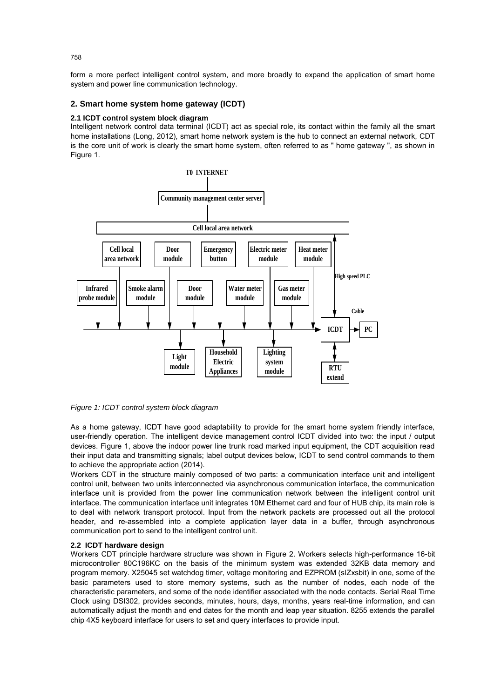form a more perfect intelligent control system, and more broadly to expand the application of smart home system and power line communication technology.

# **2. Smart home system home gateway (ICDT)**

## **2.1 ICDT control system block diagram**

Intelligent network control data terminal (ICDT) act as special role, its contact within the family all the smart home installations (Long, 2012), smart home network system is the hub to connect an external network, CDT is the core unit of work is clearly the smart home system, often referred to as " home gateway ", as shown in Figure 1.



#### *Figure 1: ICDT control system block diagram*

As a home gateway, ICDT have good adaptability to provide for the smart home system friendly interface, user-friendly operation. The intelligent device management control ICDT divided into two: the input / output devices. Figure 1, above the indoor power line trunk road marked input equipment, the CDT acquisition read their input data and transmitting signals; label output devices below, ICDT to send control commands to them to achieve the appropriate action (2014).

Workers CDT in the structure mainly composed of two parts: a communication interface unit and intelligent control unit, between two units interconnected via asynchronous communication interface, the communication interface unit is provided from the power line communication network between the intelligent control unit interface. The communication interface unit integrates 10M Ethernet card and four of HUB chip, its main role is to deal with network transport protocol. Input from the network packets are processed out all the protocol header, and re-assembled into a complete application layer data in a buffer, through asynchronous communication port to send to the intelligent control unit.

#### **2.2 ICDT hardware design**

Workers CDT principle hardware structure was shown in Figure 2. Workers selects high-performance 16-bit microcontroller 80C196KC on the basis of the minimum system was extended 32KB data memory and program memory. X25045 set watchdog timer, voltage monitoring and EZPROM (slZxsbit) in one, some of the basic parameters used to store memory systems, such as the number of nodes, each node of the characteristic parameters, and some of the node identifier associated with the node contacts. Serial Real Time Clock using DSI302, provides seconds, minutes, hours, days, months, years real-time information, and can automatically adjust the month and end dates for the month and leap year situation. 8255 extends the parallel chip 4X5 keyboard interface for users to set and query interfaces to provide input.

758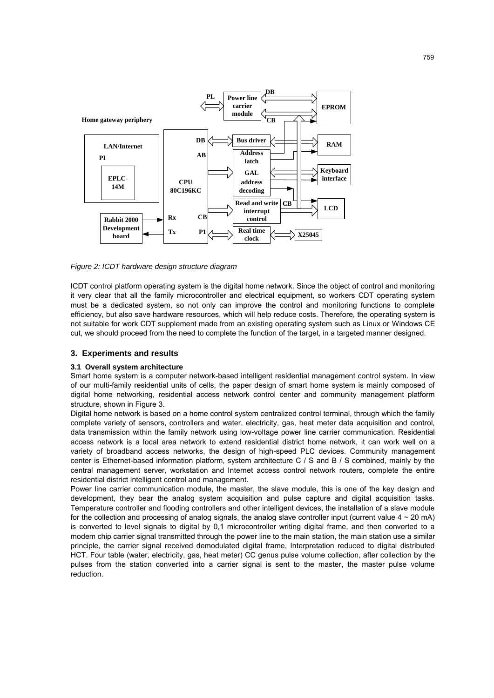

*Figure 2: ICDT hardware design structure diagram*

ICDT control platform operating system is the digital home network. Since the object of control and monitoring it very clear that all the family microcontroller and electrical equipment, so workers CDT operating system must be a dedicated system, so not only can improve the control and monitoring functions to complete efficiency, but also save hardware resources, which will help reduce costs. Therefore, the operating system is not suitable for work CDT supplement made from an existing operating system such as Linux or Windows CE cut, we should proceed from the need to complete the function of the target, in a targeted manner designed.

#### **3. Experiments and results**

#### **3.1 Overall system architecture**

Smart home system is a computer network-based intelligent residential management control system. In view of our multi-family residential units of cells, the paper design of smart home system is mainly composed of digital home networking, residential access network control center and community management platform structure, shown in Figure 3.

Digital home network is based on a home control system centralized control terminal, through which the family complete variety of sensors, controllers and water, electricity, gas, heat meter data acquisition and control, data transmission within the family network using low-voltage power line carrier communication. Residential access network is a local area network to extend residential district home network, it can work well on a variety of broadband access networks, the design of high-speed PLC devices. Community management center is Ethernet-based information platform, system architecture C / S and B / S combined, mainly by the central management server, workstation and Internet access control network routers, complete the entire residential district intelligent control and management.

Power line carrier communication module, the master, the slave module, this is one of the key design and development, they bear the analog system acquisition and pulse capture and digital acquisition tasks. Temperature controller and flooding controllers and other intelligent devices, the installation of a slave module for the collection and processing of analog signals, the analog slave controller input (current value  $4 \sim 20$  mA) is converted to level signals to digital by 0,1 microcontroller writing digital frame, and then converted to a modem chip carrier signal transmitted through the power line to the main station, the main station use a similar principle, the carrier signal received demodulated digital frame, Interpretation reduced to digital distributed HCT. Four table (water, electricity, gas, heat meter) CC genus pulse volume collection, after collection by the pulses from the station converted into a carrier signal is sent to the master, the master pulse volume reduction.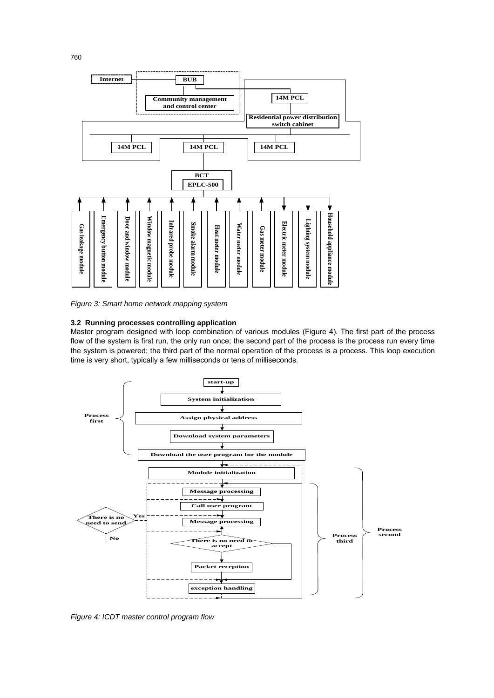

*Figure 3: Smart home network mapping system*

## **3.2 Running processes controlling application**

Master program designed with loop combination of various modules (Figure 4). The first part of the process flow of the system is first run, the only run once; the second part of the process is the process run every time the system is powered; the third part of the normal operation of the process is a process. This loop execution time is very short, typically a few milliseconds or tens of milliseconds.



*Figure 4: ICDT master control program flow*

760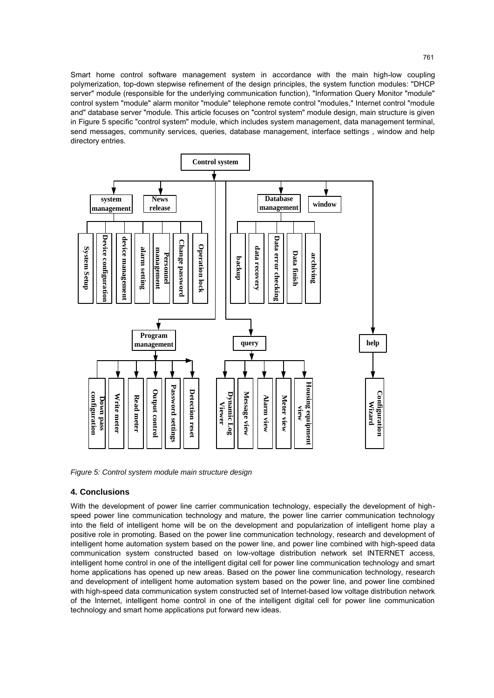Smart home control software management system in accordance with the main high-low coupling polymerization, top-down stepwise refinement of the design principles, the system function modules: "DHCP server" module (responsible for the underlying communication function), "Information Query Monitor "module" control system "module" alarm monitor "module" telephone remote control "modules," Internet control "module and" database server "module. This article focuses on "control system" module design, main structure is given in Figure 5 specific "control system" module, which includes system management, data management terminal, send messages, community services, queries, database management, interface settings , window and help directory entries.



*Figure 5: Control system module main structure design*

#### **4. Conclusions**

With the development of power line carrier communication technology, especially the development of highspeed power line communication technology and mature, the power line carrier communication technology into the field of intelligent home will be on the development and popularization of intelligent home play a positive role in promoting. Based on the power line communication technology, research and development of intelligent home automation system based on the power line, and power line combined with high-speed data communication system constructed based on low-voltage distribution network set INTERNET access, intelligent home control in one of the intelligent digital cell for power line communication technology and smart home applications has opened up new areas. Based on the power line communication technology, research and development of intelligent home automation system based on the power line, and power line combined with high-speed data communication system constructed set of Internet-based low voltage distribution network of the Internet, intelligent home control in one of the intelligent digital cell for power line communication technology and smart home applications put forward new ideas.